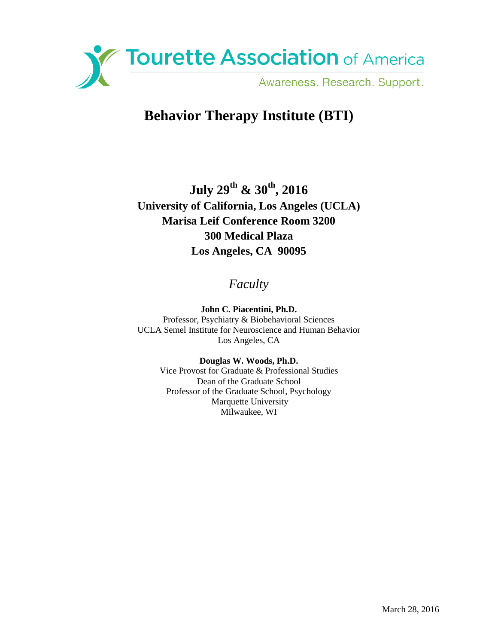

# **Behavior Therapy Institute (BTI)**

**July 29th & 30th, 2016 University of California, Los Angeles (UCLA) Marisa Leif Conference Room 3200 300 Medical Plaza Los Angeles, CA 90095**

## *Faculty*

**John C. Piacentini, Ph.D.** Professor, Psychiatry & Biobehavioral Sciences UCLA Semel Institute for Neuroscience and Human Behavior Los Angeles, CA

> **Douglas W. Woods, Ph.D.** Vice Provost for Graduate & Professional Studies Dean of the Graduate School Professor of the Graduate School, Psychology Marquette University Milwaukee, WI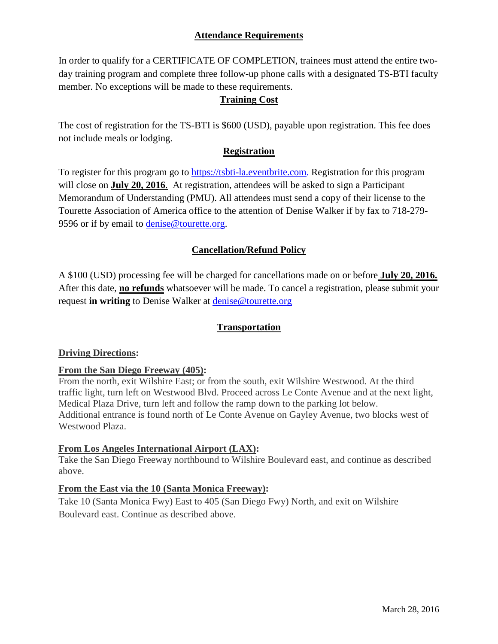## **Attendance Requirements**

In order to qualify for a CERTIFICATE OF COMPLETION, trainees must attend the entire twoday training program and complete three follow-up phone calls with a designated TS-BTI faculty member. No exceptions will be made to these requirements.

## **Training Cost**

The cost of registration for the TS-BTI is \$600 (USD), payable upon registration. This fee does not include meals or lodging.

## **Registration**

To register for this program go to [https://tsbti-la.eventbrite.com.](https://tsbti-la.eventbrite.com/) Registration for this program will close on **July 20, 2016**. At registration, attendees will be asked to sign a Participant Memorandum of Understanding (PMU). All attendees must send a copy of their license to the Tourette Association of America office to the attention of Denise Walker if by fax to 718-279 9596 or if by email to [denise@tourette.org.](mailto:denise@tourette.org)

## **Cancellation/Refund Policy**

A \$100 (USD) processing fee will be charged for cancellations made on or before **July 20, 2016.**  After this date, **no refunds** whatsoever will be made. To cancel a registration, please submit your request **in writing** to Denise Walker at [denise@tourette.org](mailto:denise@tourette.org)

## **Transportation**

## **Driving Directions:**

## **From the San Diego Freeway (405):**

From the north, exit Wilshire East; or from the south, exit Wilshire Westwood. At the third traffic light, turn left on Westwood Blvd. Proceed across Le Conte Avenue and at the next light, Medical Plaza Drive, turn left and follow the ramp down to the parking lot below. Additional entrance is found north of Le Conte Avenue on Gayley Avenue, two blocks west of Westwood Plaza.

## **From Los Angeles International Airport (LAX):**

Take the San Diego Freeway northbound to Wilshire Boulevard east, and continue as described above.

## **From the East via the 10 (Santa Monica Freeway):**

Take 10 (Santa Monica Fwy) East to 405 (San Diego Fwy) North, and exit on Wilshire Boulevard east. Continue as described above.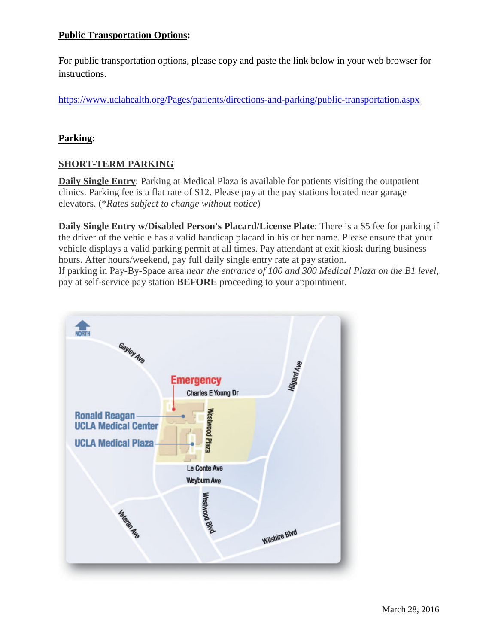## **Public Transportation Options:**

For public transportation options, please copy and paste the link below in your web browser for instructions.

<https://www.uclahealth.org/Pages/patients/directions-and-parking/public-transportation.aspx>

#### **Parking:**

## **SHORT-TERM PARKING**

**Daily Single Entry**: Parking at Medical Plaza is available for patients visiting the outpatient clinics. Parking fee is a flat rate of \$12. Please pay at the pay stations located near garage elevators. (\**Rates subject to change without notice*)

**Daily Single Entry w/Disabled Person's Placard/License Plate**: There is a \$5 fee for parking if the driver of the vehicle has a valid handicap placard in his or her name. Please ensure that your vehicle displays a valid parking permit at all times. Pay attendant at exit kiosk during business hours. After hours/weekend, pay full daily single entry rate at pay station. If parking in Pay-By-Space area *near the entrance of 100 and 300 Medical Plaza on the B1 level,* pay at self-service pay station **BEFORE** proceeding to your appointment.

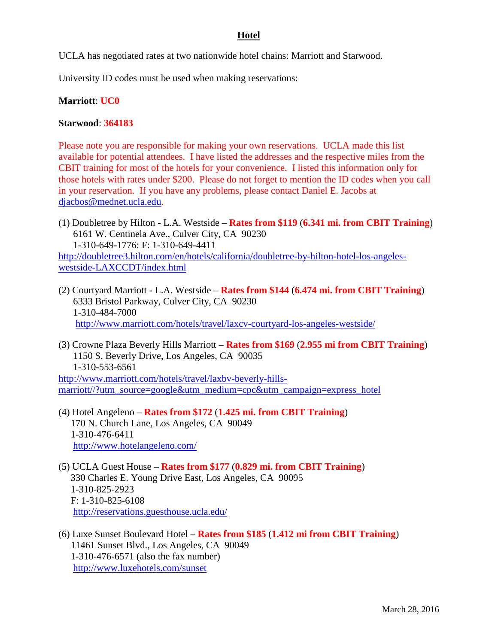#### **Hotel**

UCLA has negotiated rates at two nationwide hotel chains: Marriott and Starwood.

University ID codes must be used when making reservations:

#### **Marriott**: **UC0**

#### **Starwood**: **364183**

Please note you are responsible for making your own reservations. UCLA made this list available for potential attendees. I have listed the addresses and the respective miles from the CBIT training for most of the hotels for your convenience. I listed this information only for those hotels with rates under \$200. Please do not forget to mention the ID codes when you call in your reservation. If you have any problems, please contact Daniel E. Jacobs at [djacbos@mednet.ucla.edu.](mailto:djacbos@mednet.ucla.edu)

- (1) Doubletree by Hilton L.A. Westside **Rates from \$119** (**6.341 mi. from CBIT Training**) 6161 W. Centinela Ave., Culver City, CA 90230 1-310-649-1776: F: 1-310-649-4411 [http://doubletree3.hilton.com/en/hotels/california/doubletree-by-hilton-hotel-los-angeles](http://doubletree3.hilton.com/en/hotels/california/doubletree-by-hilton-hotel-los-angeles-%20%20westside-LAXCCDT/index.html)[westside-LAXCCDT/index.html](http://doubletree3.hilton.com/en/hotels/california/doubletree-by-hilton-hotel-los-angeles-%20%20westside-LAXCCDT/index.html)
- (2) Courtyard Marriott L.A. Westside **Rates from \$144** (**6.474 mi. from CBIT Training**) 6333 Bristol Parkway, Culver City, CA 90230 1-310-484-7000

<http://www.marriott.com/hotels/travel/laxcv-courtyard-los-angeles-westside/>

(3) Crowne Plaza Beverly Hills Marriott – **Rates from \$169** (**2.955 mi from CBIT Training**) 1150 S. Beverly Drive, Los Angeles, CA 90035 1-310-553-6561

[http://www.marriott.com/hotels/travel/laxbv-beverly-hills](http://www.marriott.com/hotels/travel/laxbv-beverly-hills-marriott/?utm_source=google&utm_medium=cpc&utm_campaign=express_hotel)[marriott//?utm\\_source=google&utm\\_medium=cpc&utm\\_campaign=express\\_hotel](http://www.marriott.com/hotels/travel/laxbv-beverly-hills-marriott/?utm_source=google&utm_medium=cpc&utm_campaign=express_hotel)

- (4) Hotel Angeleno **Rates from \$172** (**1.425 mi. from CBIT Training**) 170 N. Church Lane, Los Angeles, CA 90049 1-310-476-6411 <http://www.hotelangeleno.com/>
- (5) UCLA Guest House **Rates from \$177** (**0.829 mi. from CBIT Training**) 330 Charles E. Young Drive East, Los Angeles, CA 90095 1-310-825-2923 F: 1-310-825-6108 <http://reservations.guesthouse.ucla.edu/>
- (6) Luxe Sunset Boulevard Hotel **Rates from \$185** (**1.412 mi from CBIT Training**) 11461 Sunset Blvd., Los Angeles, CA 90049 1-310-476-6571 (also the fax number) <http://www.luxehotels.com/sunset>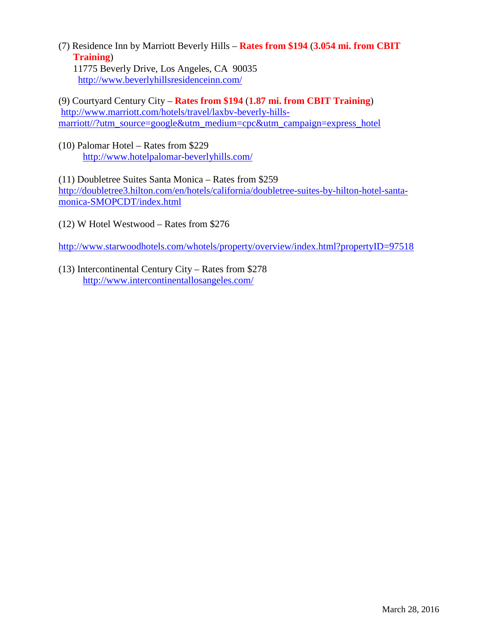(7) Residence Inn by Marriott Beverly Hills – **Rates from \$194** (**3.054 mi. from CBIT Training**) 11775 Beverly Drive, Los Angeles, CA 90035

<http://www.beverlyhillsresidenceinn.com/>

(9) Courtyard Century City – **Rates from \$194** (**1.87 mi. from CBIT Training**) [http://www.marriott.com/hotels/travel/laxbv-beverly-hills](http://www.marriott.com/hotels/travel/laxbv-beverly-hills-%20%20marriott/?utm_source=google&utm_medium=cpc&utm_campaign=express_hotel)[marriott//?utm\\_source=google&utm\\_medium=cpc&utm\\_campaign=express\\_hotel](http://www.marriott.com/hotels/travel/laxbv-beverly-hills-%20%20marriott/?utm_source=google&utm_medium=cpc&utm_campaign=express_hotel)

(10) Palomar Hotel – Rates from \$229 <http://www.hotelpalomar-beverlyhills.com/>

(11) Doubletree Suites Santa Monica – Rates from \$259 [http://doubletree3.hilton.com/en/hotels/california/doubletree-suites-by-hilton-hotel-santa](http://doubletree3.hilton.com/en/hotels/california/doubletree-suites-by-hilton-hotel-santa-monica-SMOPCDT/index.html)[monica-SMOPCDT/index.html](http://doubletree3.hilton.com/en/hotels/california/doubletree-suites-by-hilton-hotel-santa-monica-SMOPCDT/index.html)

(12) W Hotel Westwood – Rates from \$276

<http://www.starwoodhotels.com/whotels/property/overview/index.html?propertyID=97518>

(13) Intercontinental Century City – Rates from \$278 <http://www.intercontinentallosangeles.com/>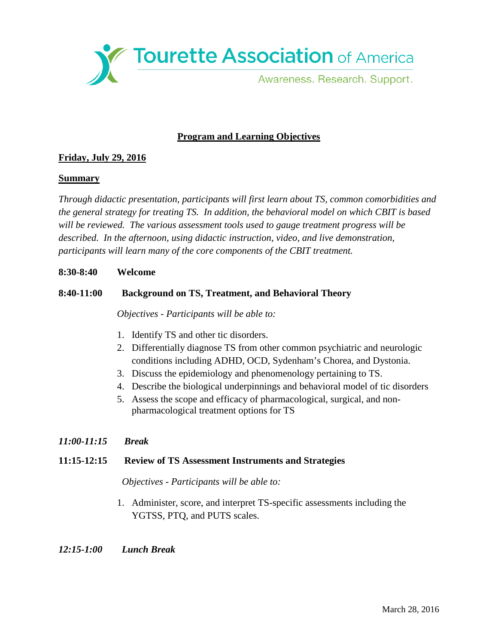Tourette Association of America Awareness. Research. Support.

## **Program and Learning Objectives**

## **Friday, July 29, 2016**

#### **Summary**

*Through didactic presentation, participants will first learn about TS, common comorbidities and the general strategy for treating TS. In addition, the behavioral model on which CBIT is based will be reviewed. The various assessment tools used to gauge treatment progress will be described. In the afternoon, using didactic instruction, video, and live demonstration, participants will learn many of the core components of the CBIT treatment.*

#### **8:30-8:40 Welcome**

## **8:40-11:00 Background on TS, Treatment, and Behavioral Theory**

*Objectives - Participants will be able to:*

- 1. Identify TS and other tic disorders.
- 2. Differentially diagnose TS from other common psychiatric and neurologic conditions including ADHD, OCD, Sydenham's Chorea, and Dystonia.
- 3. Discuss the epidemiology and phenomenology pertaining to TS.
- 4. Describe the biological underpinnings and behavioral model of tic disorders
- 5. Assess the scope and efficacy of pharmacological, surgical, and nonpharmacological treatment options for TS

## *11:00-11:15 Break*

#### **11:15-12:15 Review of TS Assessment Instruments and Strategies**

 *Objectives - Participants will be able to:*

1. Administer, score, and interpret TS-specific assessments including the YGTSS, PTQ, and PUTS scales.

#### *12:15-1:00 Lunch Break*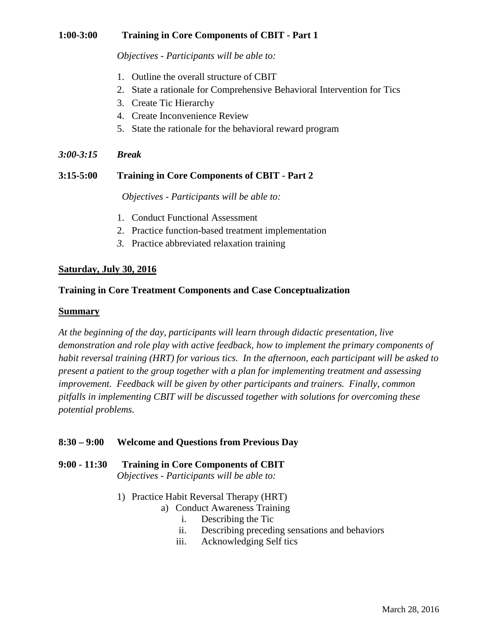#### **1:00-3:00 Training in Core Components of CBIT - Part 1**

*Objectives - Participants will be able to:*

- 1. Outline the overall structure of CBIT
- 2. State a rationale for Comprehensive Behavioral Intervention for Tics
- 3. Create Tic Hierarchy
- 4. Create Inconvenience Review
- 5. State the rationale for the behavioral reward program
- *3:00-3:15 Break*

#### **3:15-5:00 Training in Core Components of CBIT - Part 2**

 *Objectives - Participants will be able to:*

- 1. Conduct Functional Assessment
- 2. Practice function-based treatment implementation
- *3.* Practice abbreviated relaxation training

#### **Saturday, July 30, 2016**

#### **Training in Core Treatment Components and Case Conceptualization**

#### **Summary**

*At the beginning of the day, participants will learn through didactic presentation, live demonstration and role play with active feedback, how to implement the primary components of habit reversal training (HRT) for various tics. In the afternoon, each participant will be asked to present a patient to the group together with a plan for implementing treatment and assessing improvement. Feedback will be given by other participants and trainers. Finally, common pitfalls in implementing CBIT will be discussed together with solutions for overcoming these potential problems.*

#### **8:30 – 9:00 Welcome and Questions from Previous Day**

- **9:00 - 11:30 Training in Core Components of CBIT**  *Objectives - Participants will be able to:*
	- 1) Practice Habit Reversal Therapy (HRT)
		- a) Conduct Awareness Training
			- i. Describing the Tic
			- ii. Describing preceding sensations and behaviors
			- iii. Acknowledging Self tics